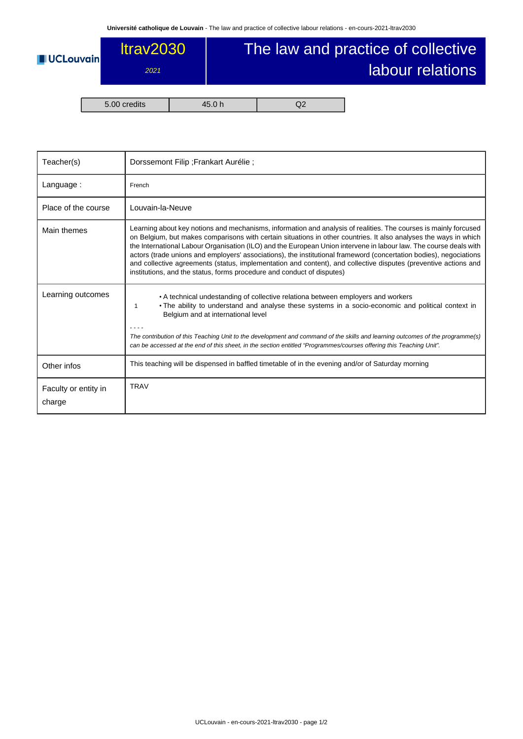

| Teacher(s)                     | Dorssemont Filip ; Frankart Aurélie ;                                                                                                                                                                                                                                                                                                                                                                                                                                                                                                                                                                                                                                        |  |  |  |
|--------------------------------|------------------------------------------------------------------------------------------------------------------------------------------------------------------------------------------------------------------------------------------------------------------------------------------------------------------------------------------------------------------------------------------------------------------------------------------------------------------------------------------------------------------------------------------------------------------------------------------------------------------------------------------------------------------------------|--|--|--|
| Language:                      | French                                                                                                                                                                                                                                                                                                                                                                                                                                                                                                                                                                                                                                                                       |  |  |  |
| Place of the course            | Louvain-la-Neuve                                                                                                                                                                                                                                                                                                                                                                                                                                                                                                                                                                                                                                                             |  |  |  |
| Main themes                    | Learning about key notions and mechanisms, information and analysis of realities. The courses is mainly forcused<br>on Belgium, but makes comparisons with certain situations in other countries. It also analyses the ways in which<br>the International Labour Organisation (ILO) and the European Union intervene in labour law. The course deals with<br>actors (trade unions and employers' associations), the institutional frameword (concertation bodies), negociations<br>and collective agreements (status, implementation and content), and collective disputes (preventive actions and<br>institutions, and the status, forms procedure and conduct of disputes) |  |  |  |
| Learning outcomes              | • A technical undestanding of collective relationa between employers and workers<br>• The ability to understand and analyse these systems in a socio-economic and political context in<br>1<br>Belgium and at international level<br>The contribution of this Teaching Unit to the development and command of the skills and learning outcomes of the programme(s)<br>can be accessed at the end of this sheet, in the section entitled "Programmes/courses offering this Teaching Unit".                                                                                                                                                                                    |  |  |  |
| Other infos                    | This teaching will be dispensed in baffled timetable of in the evening and/or of Saturday morning                                                                                                                                                                                                                                                                                                                                                                                                                                                                                                                                                                            |  |  |  |
| Faculty or entity in<br>charge | <b>TRAV</b>                                                                                                                                                                                                                                                                                                                                                                                                                                                                                                                                                                                                                                                                  |  |  |  |